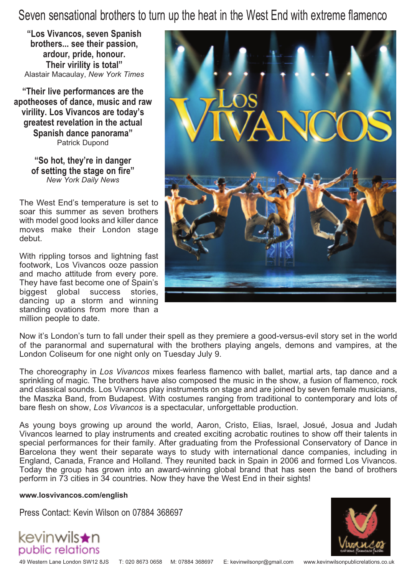Seven sensational brothers to turn up the heat in the West End with extreme flamenco

**"Los Vivancos, seven Spanish brothers... see their passion, ardour, pride, honour. Their virility is total"** Alastair Macaulay, *New York Times*

**"Their live performances are the apotheoses of dance, music and raw virility. Los Vivancos are today's greatest revelation in the actual Spanish dance panorama"** Patrick Dupond

> **"So hot, they're in danger of setting the stage on fire"** *New York Daily News*

The West End's temperature is set to soar this summer as seven brothers with model good looks and killer dance moves make their London stage debut.

With rippling torsos and lightning fast footwork, Los Vivancos ooze passion and macho attitude from every pore. They have fast become one of Spain's biggest global success stories, dancing up a storm and winning standing ovations from more than a million people to date.



Now it's London's turn to fall under their spell as they premiere a good-versus-evil story set in the world of the paranormal and supernatural with the brothers playing angels, demons and vampires, at the London Coliseum for one night only on Tuesday July 9.

The choreography in *Los Vivancos* mixes fearless flamenco with ballet, martial arts, tap dance and a sprinkling of magic. The brothers have also composed the music in the show, a fusion of flamenco, rock and classical sounds. Los Vivancos play instruments on stage and are joined by seven female musicians, the Maszka Band, from Budapest. With costumes ranging from traditional to contemporary and lots of bare flesh on show, *Los Vivancos* is a spectacular, unforgettable production.

As young boys growing up around the world, Aaron, Cristo, Elias, Israel, Josué, Josua and Judah Vivancos learned to play instruments and created exciting acrobatic routines to show off their talents in special performances for their family. After graduating from the Professional Conservatory of Dance in Barcelona they went their separate ways to study with international dance companies, including in England, Canada, France and Holland. They reunited back in Spain in 2006 and formed Los Vivancos. Today the group has grown into an award-winning global brand that has seen the band of brothers perform in 73 cities in 34 countries. Now they have the West End in their sights!

**www.losvivancos.com/english**

Press Contact: Kevin Wilson on 07884 368697